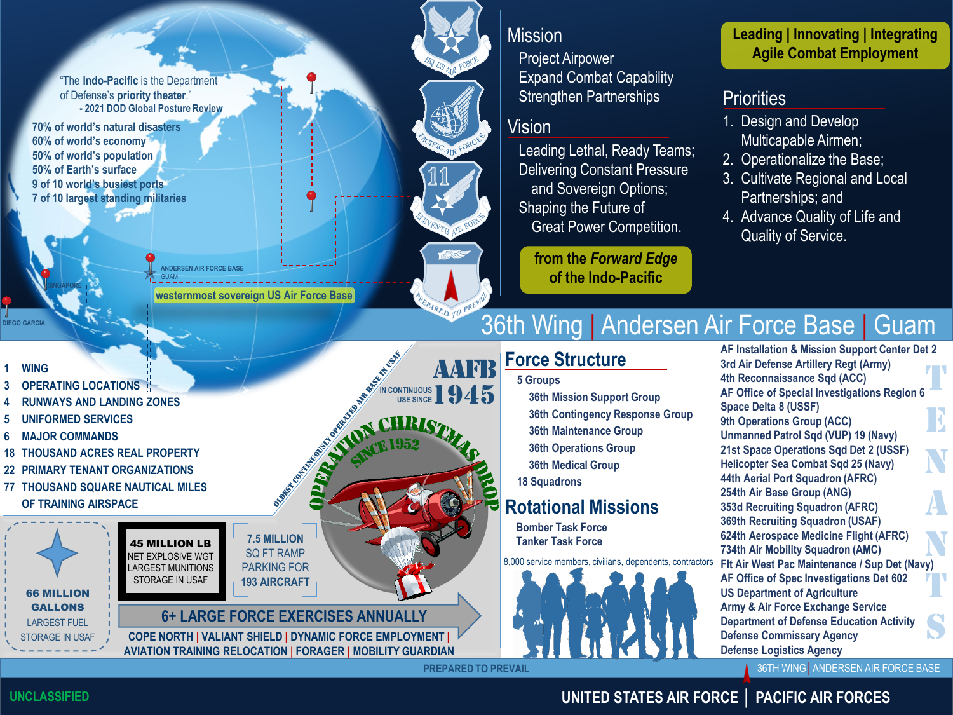"The **Indo-Pacific** is the Department of Defense's **priority theater**." **- 2021 DOD Global Posture Review**

**70% of world's natural disasters 60% of world's economy 50% of world's population 50% of Earth's surface 9 of 10 world's busiest ports 7 of 10 largest standing militaries**

**SINGAPORE**

**DIEGO GARCIA**

GUAM **ANDERSEN AIR FORCE BASE westernmost sovereign US Air Force Base**

### Mission

Project Airpower Expand Combat Capability Strengthen Partnerships

Vision

Leading Lethal, Ready Teams; Delivering Constant Pressure and Sovereign Options; Shaping the Future of Great Power Competition.

**from the** *Forward Edge* **of the Indo-Pacific**

#### **Leading | Innovating | Integrating Agile Combat Employment**

### **Priorities**

- 1. Design and Develop Multicapable Airmen;
- 2. Operationalize the Base;
- 3. Cultivate Regional and Local Partnerships; and
- 4. Advance Quality of Life and Quality of Service.

# 36th Wing | Andersen Air Force Base | Guam

# **Force Structure**

**36th Mission Support Group 36th Contingency Response Group 36th Maintenance Group 36th Operations Group 36th Medical Group**

# **Rotational Missions**

**Bomber Task Force Tanker Task Force**

8,000 service members, civilians, dependents, contractors



**AF Installation & Mission Support Center Det 2 3rd Air Defense Artillery Regt (Army) 4th Reconnaissance Sqd (ACC) AF Office of Special Investigations Region 6 Space Delta 8 (USSF) 9th Operations Group (ACC) Unmanned Patrol Sqd (VUP) 19 (Navy) 21st Space Operations Sqd Det 2 (USSF) Helicopter Sea Combat Sqd 25 (Navy) 44th Aerial Port Squadron (AFRC) 254th Air Base Group (ANG) 353d Recruiting Squadron (AFRC) 369th Recruiting Squadron (USAF) 624th Aerospace Medicine Flight (AFRC) 734th Air Mobility Squadron (AMC) Flt Air West Pac Maintenance / Sup Det (Navy) AF Office of Spec Investigations Det 602 US Department of Agriculture Army & Air Force Exchange Service Department of Defense Education Activity Defense Commissary Agency Defense Logistics Agency** T E N A N<br>M T S

36TH WING│ANDERSEN AIR FORCE BASE

**PREPARED TO PREVAIL** aafb 1945 **1 WING OPERATING LOCATIONS 4 RUNWAYS AND LANDING ZONES 5 UNIFORMED SERVICES 6 MAJOR COMMANDS 18 THOUSAND ACRES REAL PROPERTY 22 PRIMARY TENANT ORGANIZATIONS 77 THOUSAND SQUARE NAUTICAL MILES OF TRAINING AIRSPACE COPE NORTH | VALIANT SHIELD | DYNAMIC FORCE EMPLOYMENT | AVIATION TRAINING RELOCATION | FORAGER | MOBILITY GUARDIAN** 45 MILLION LB NET EXPLOSIVE WGT LARGEST MUNITIONS STORAGE IN USAF 66 MILLION GALLONS LARGEST FUEL STORAGE IN USAF **I** CONTINUOUS **USE OF THE OWNER WORKING WAS STATED ASSESSMENT AND THE OWNER WORKING WAS 5 Groups 18 Squadrons 7.5 MILLION** SQ FT RAMP PARKING FOR **193 AIRCRAFT 6+ LARGE FORCE EXERCISES ANNUALLY**

**UNCLASSIFIED**